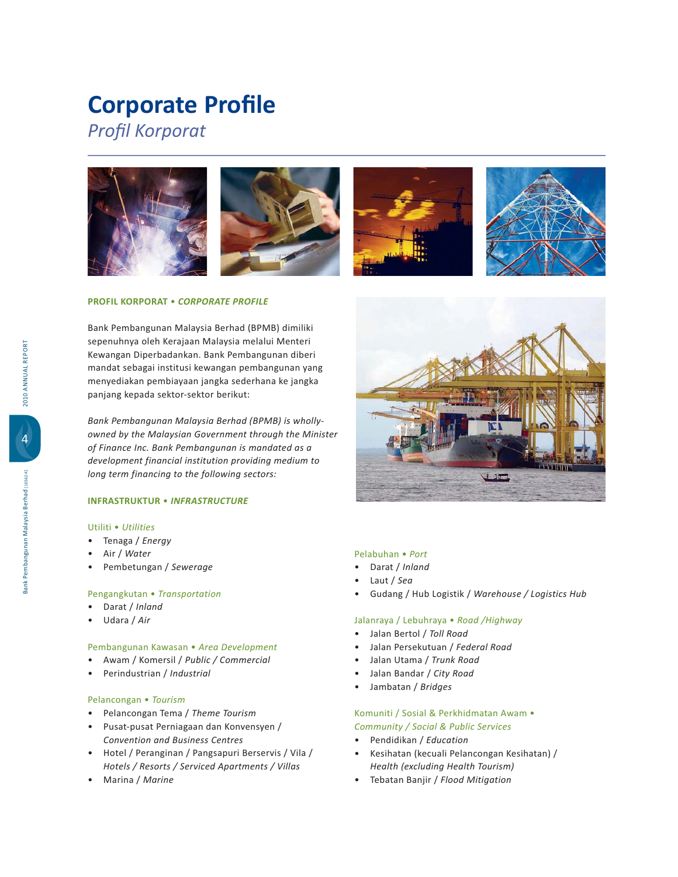# **Corporate Profile**

**Profil Korporat** 



### **PROFIL KORPORAT** - *CORPORATE PROFILE*

Bank Pembangunan Malaysia Berhad (BPMB) dimiliki sepenuhnya oleh Kerajaan Malaysia melalui Menteri Kewangan Diperbadankan. Bank Pembangunan diberi mandat sebagai institusi kewangan pembangunan yang menyediakan pembiayaan jangka sederhana ke jangka panjang kepada sektor-sektor berikut:

*Bank Pembangunan Malaysia Berhad (BPMB) is whollyowned by the Malaysian Government through the Minister of Finance Inc. Bank Pembangunan is mandated as a development financial institution providing medium to long term financing to the following sectors:*

### **INFRASTRUKTUR** - *INFRASTRUCTURE*

### Utiliti · Utilities

- - *Energy*
- -*Water*
- -Pembetungan / Sewerage

### Pengangkutan · Transportation

- -Darat / Inland
- -Udara / Air

### Pembangunan Kawasan • Area Development

- -
*Public / Commercial*
- $\bullet$ Perindustrian / Industrial

### Pelancongan · Tourism

- Pelancongan Tema / Theme Tourism
- -Pusat-pusat Perniagaan dan Konvensyen /  *Convention and Business Centres*
- Hotel / Peranginan / Pangsapuri Berservis / Vila / *Hotels / Resorts / Serviced Apartments / Villas*
- -Marina / Marine



### Pelabuhan · Port

- -Darat / Inland
- -Laut / Sea
- -Gudang / Hub Logistik / Warehouse / Logistics Hub

### Jalanraya / Lebuhraya • Road /Highway

- -Jalan Bertol / *Toll Road*
- -Jalan Persekutuan / Federal Road
- -Jalan Utama / Trunk Road
- -Jalan Bandar / City Road
- -Jambatan / *Bridges*

### Komuniti / Sosial & Perkhidmatan Awam • *Community / Social & Public Services*

- $\bullet$  *Education*
- -Kesihatan (kecuali Pelancongan Kesihatan) /  *Health (excluding Health Tourism)*
- Tebatan Banjir / Flood Mitigation

4